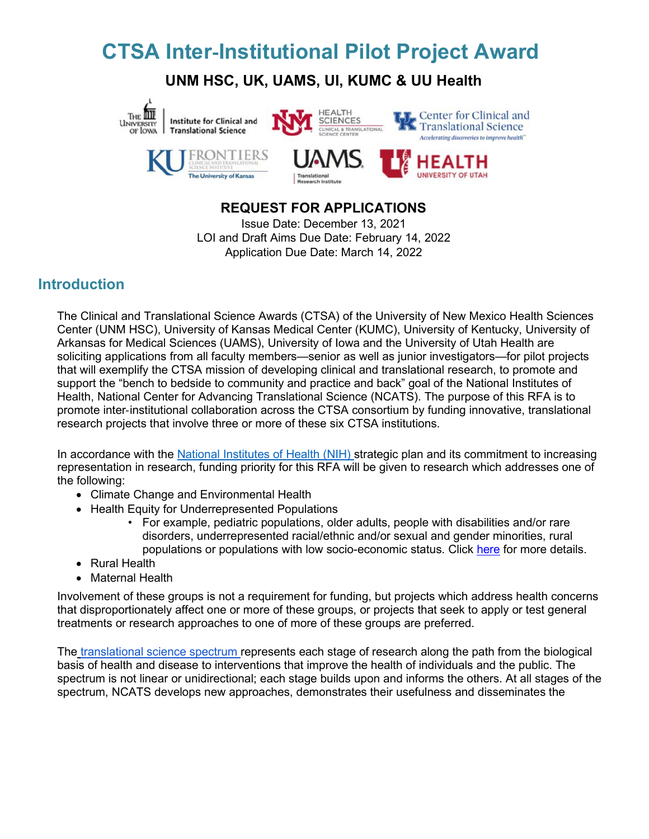# **CTSA Inter**‐**Institutional Pilot Project Award**

**UNM HSC, UK, UAMS, UI, KUMC & UU Health**



# **REQUEST FOR APPLICATIONS**

Issue Date: December 13, 2021 LOI and Draft Aims Due Date: February 14, 2022 Application Due Date: March 14, 2022

### **Introduction**

The Clinical and Translational Science Awards (CTSA) of the University of New Mexico Health Sciences Center (UNM HSC), University of Kansas Medical Center (KUMC), University of Kentucky, University of Arkansas for Medical Sciences (UAMS), University of Iowa and the University of Utah Health are soliciting applications from all faculty members—senior as well as junior investigators—for pilot projects that will exemplify the CTSA mission of developing clinical and translational research, to promote and support the "bench to bedside to community and practice and back" goal of the National Institutes of Health, National Center for Advancing Translational Science (NCATS). The purpose of this RFA is to promote inter‐institutional collaboration across the CTSA consortium by funding innovative, translational research projects that involve three or more of these six CTSA institutions.

In accordance with the [National Institutes of Health \(NIH\) s](https://grants.nih.gov/grants/guide/notice-files/NOT-OD-20-031.html)trategic plan and its commitment to increasing representation in research, funding priority for this RFA will be given to research which addresses one of the following:

- Climate Change and Environmental Health
- Health Equity for Underrepresented Populations
	- For example, pediatric populations, older adults, people with disabilities and/or rare disorders, underrepresented racial/ethnic and/or sexual and gender minorities, rural populations or populations with low socio-economic status. Click [here](https://grants.nih.gov/grants/guide/notice-files/NOT-OD-20-031.html) for more details.
- Rural Health
- Maternal Health

Involvement of these groups is not a requirement for funding, but projects which address health concerns that disproportionately affect one or more of these groups, or projects that seek to apply or test general treatments or research approaches to one of more of these groups are preferred.

The [translational science spectrum r](https://ncats.nih.gov/translation/spectrum)epresents each stage of research along the path from the biological basis of health and disease to interventions that improve the health of individuals and the public. The spectrum is not linear or unidirectional; each stage builds upon and informs the others. At all stages of the spectrum, NCATS develops new approaches, demonstrates their usefulness and disseminates the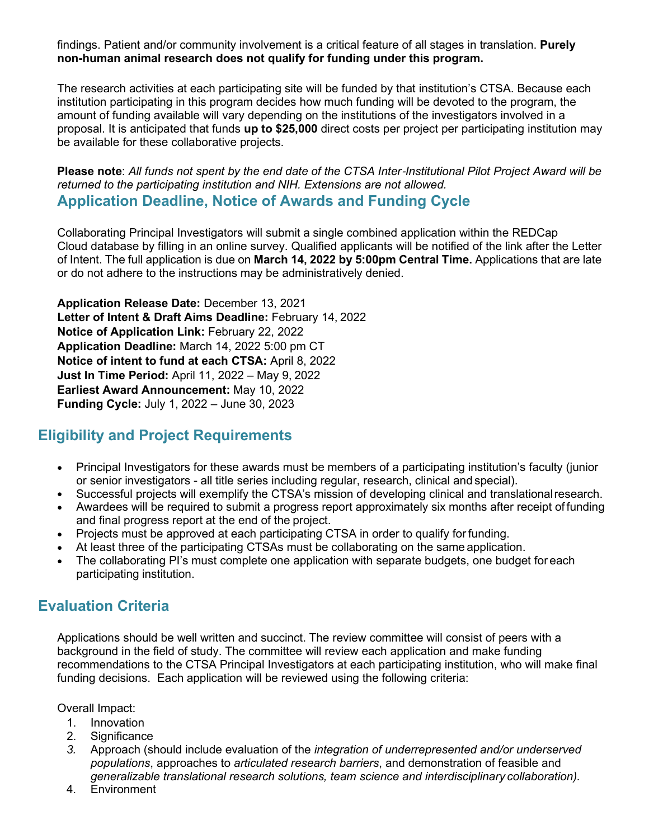findings. Patient and/or community involvement is a critical feature of all stages in translation. **Purely non-human animal research does not qualify for funding under this program.**

The research activities at each participating site will be funded by that institution's CTSA. Because each institution participating in this program decides how much funding will be devoted to the program, the amount of funding available will vary depending on the institutions of the investigators involved in a proposal. It is anticipated that funds **up to \$25,000** direct costs per project per participating institution may be available for these collaborative projects.

**Please note**: *All funds not spent by the end date of the CTSA Inter*‐*Institutional Pilot Project Award will be returned to the participating institution and NIH. Extensions are not allowed.* **Application Deadline, Notice of Awards and Funding Cycle**

Collaborating Principal Investigators will submit a single combined application within the REDCap Cloud database by filling in an online survey. Qualified applicants will be notified of the link after the Letter of Intent. The full application is due on **March 14, 2022 by 5:00pm Central Time.** Applications that are late or do not adhere to the instructions may be administratively denied.

**Application Release Date:** December 13, 2021 **Letter of Intent & Draft Aims Deadline:** February 14, 2022 **Notice of Application Link:** February 22, 2022 **Application Deadline:** March 14, 2022 5:00 pm CT **Notice of intent to fund at each CTSA:** April 8, 2022 **Just In Time Period:** April 11, 2022 – May 9, 2022 **Earliest Award Announcement:** May 10, 2022 **Funding Cycle:** July 1, 2022 – June 30, 2023

### **Eligibility and Project Requirements**

- Principal Investigators for these awards must be members of a participating institution's faculty (junior or senior investigators - all title series including regular, research, clinical and special).
- Successful projects will exemplify the CTSA's mission of developing clinical and translationalresearch.
- Awardees will be required to submit a progress report approximately six months after receipt of funding and final progress report at the end of the project.
- Projects must be approved at each participating CTSA in order to qualify for funding.
- At least three of the participating CTSAs must be collaborating on the same application.
- The collaborating PI's must complete one application with separate budgets, one budget for each participating institution.

### **Evaluation Criteria**

Applications should be well written and succinct. The review committee will consist of peers with a background in the field of study. The committee will review each application and make funding recommendations to the CTSA Principal Investigators at each participating institution, who will make final funding decisions. Each application will be reviewed using the following criteria:

Overall Impact:

- 1. Innovation
- 2. Significance
- *3.* Approach (should include evaluation of the *integration of underrepresented and/or underserved populations*, approaches to *articulated research barriers*, and demonstration of feasible and *generalizable translational research solutions, team science and interdisciplinary collaboration).*
- 4. Environment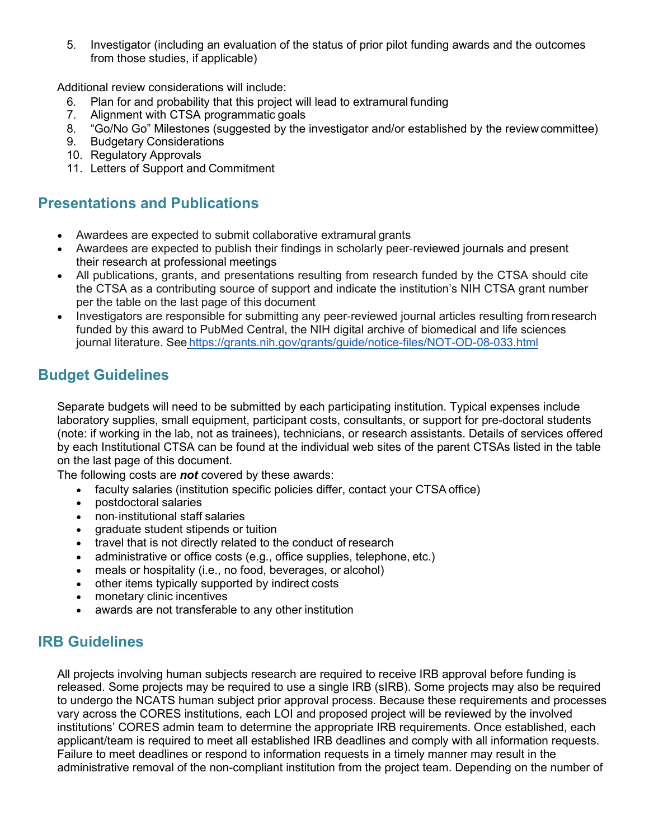5. Investigator (including an evaluation of the status of prior pilot funding awards and the outcomes from those studies, if applicable)

Additional review considerations will include:

- 6. Plan for and probability that this project will lead to extramural funding
- 7. Alignment with CTSA programmatic goals
- 8. "Go/No Go" Milestones (suggested by the investigator and/or established by the review committee)<br>9. Budgetary Considerations
- **Budgetary Considerations**
- 10. Regulatory Approvals
- 11. Letters of Support and Commitment

### **Presentations and Publications**

- Awardees are expected to submit collaborative extramural grants
- Awardees are expected to publish their findings in scholarly peer-reviewed journals and present their research at professional meetings
- All publications, grants, and presentations resulting from research funded by the CTSA should cite the CTSA as a contributing source of support and indicate the institution's NIH CTSA grant number per the table on the last page of this document
- Investigators are responsible for submitting any peer‐reviewed journal articles resulting from research funded by this award to PubMed Central, the NIH digital archive of biomedical and life sciences journal literature. See <https://grants.nih.gov/grants/guide/notice-files/NOT-OD-08-033.html>

# **Budget Guidelines**

Separate budgets will need to be submitted by each participating institution. Typical expenses include laboratory supplies, small equipment, participant costs, consultants, or support for pre-doctoral students (note: if working in the lab, not as trainees), technicians, or research assistants. Details of services offered by each Institutional CTSA can be found at the individual web sites of the parent CTSAs listed in the table on the last page of this document.

The following costs are *not* covered by these awards:

- faculty salaries (institution specific policies differ, contact your CTSA office)
- postdoctoral salaries
- non‐institutional staff salaries
- graduate student stipends or tuition
- travel that is not directly related to the conduct of research
- administrative or office costs (e.g., office supplies, telephone, etc.)
- meals or hospitality (i.e., no food, beverages, or alcohol)
- other items typically supported by indirect costs
- monetary clinic incentives
- awards are not transferable to any other institution

# **IRB Guidelines**

All projects involving human subjects research are required to receive IRB approval before funding is released. Some projects may be required to use a single IRB (sIRB). Some projects may also be required to undergo the NCATS human subject prior approval process. Because these requirements and processes vary across the CORES institutions, each LOI and proposed project will be reviewed by the involved institutions' CORES admin team to determine the appropriate IRB requirements. Once established, each applicant/team is required to meet all established IRB deadlines and comply with all information requests. Failure to meet deadlines or respond to information requests in a timely manner may result in the administrative removal of the non-compliant institution from the project team. Depending on the number of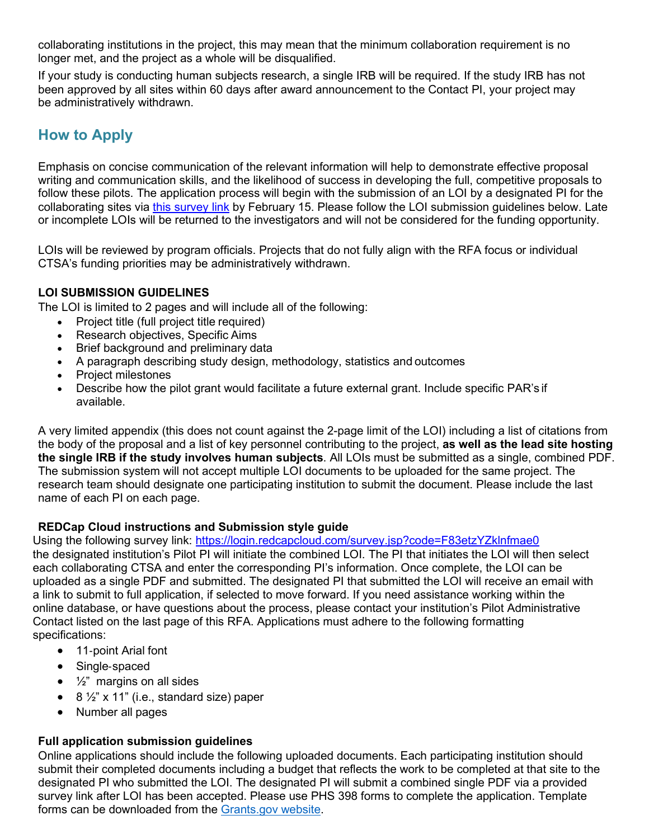collaborating institutions in the project, this may mean that the minimum collaboration requirement is no longer met, and the project as a whole will be disqualified.

If your study is conducting human subjects research, a single IRB will be required. If the study IRB has not been approved by all sites within 60 days after award announcement to the Contact PI, your project may be administratively withdrawn.

# **How to Apply**

Emphasis on concise communication of the relevant information will help to demonstrate effective proposal writing and communication skills, and the likelihood of success in developing the full, competitive proposals to follow these pilots. The application process will begin with the submission of an LOI by a designated PI for the collaborating sites via [this survey link](https://login.redcapcloud.com/survey.jsp?code=F83etzYZklnfmae0) by February 15. Please follow the LOI submission quidelines below. Late or incomplete LOIs will be returned to the investigators and will not be considered for the funding opportunity.

LOIs will be reviewed by program officials. Projects that do not fully align with the RFA focus or individual CTSA's funding priorities may be administratively withdrawn.

#### **LOI SUBMISSION GUIDELINES**

The LOI is limited to 2 pages and will include all of the following:

- Project title (full project title required)
- Research objectives, Specific Aims
- Brief background and preliminary data
- A paragraph describing study design, methodology, statistics and outcomes
- Project milestones
- Describe how the pilot grant would facilitate a future external grant. Include specific PAR's if available.

A very limited appendix (this does not count against the 2-page limit of the LOI) including a list of citations from the body of the proposal and a list of key personnel contributing to the project, **as well as the lead site hosting the single IRB if the study involves human subjects**. All LOIs must be submitted as a single, combined PDF. The submission system will not accept multiple LOI documents to be uploaded for the same project. The research team should designate one participating institution to submit the document. Please include the last name of each PI on each page.

#### **REDCap Cloud instructions and Submission style guide**

Using the following survey link:<https://login.redcapcloud.com/survey.jsp?code=F83etzYZklnfmae0> the designated institution's Pilot PI will initiate the combined LOI. The PI that initiates the LOI will then select each collaborating CTSA and enter the corresponding PI's information. Once complete, the LOI can be uploaded as a single PDF and submitted. The designated PI that submitted the LOI will receive an email with a link to submit to full application, if selected to move forward. If you need assistance working within the online database, or have questions about the process, please contact your institution's Pilot Administrative Contact listed on the last page of this RFA. Applications must adhere to the following formatting specifications:

- 11‐point Arial font
- Single‐spaced
- $\bullet$   $\frac{1}{2}$ " margins on all sides
- $\bullet$  8  $\frac{1}{2}$ " x 11" (i.e., standard size) paper
- Number all pages

#### **Full application submission guidelines**

Online applications should include the following uploaded documents. Each participating institution should submit their completed documents including a budget that reflects the work to be completed at that site to the designated PI who submitted the LOI. The designated PI will submit a combined single PDF via a provided survey link after LOI has been accepted. Please use PHS 398 forms to complete the application. Template forms can be downloaded from the [Grants.gov website.](https://grants.nih.gov/grants/funding/phs398/phs398.html)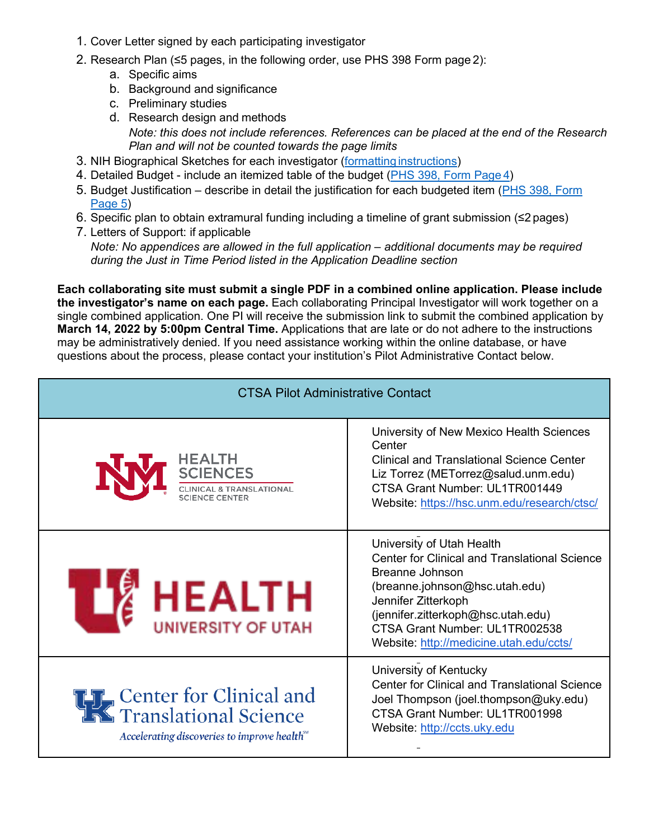- 1. Cover Letter signed by each participating investigator
- 2. Research Plan (≤5 pages, in the following order, use PHS 398 Form page 2):
	- a. Specific aims
	- b. Background and significance
	- c. Preliminary studies
	- d. Research design and methods *Note: this does not include references. References can be placed at the end of the Research Plan and will not be counted towards the page limits*
- 3. NIH Biographical Sketches for each investigator (formatting [instructions\)](https://grants.nih.gov/grants/forms/biosketch.htm)
- 4. Detailed Budget include an itemized table of the budget [\(PHS 398, Form Page](https://grants.nih.gov/grants/funding/phs398/fp4.PDF) 4)
- 5. Budget Justification describe in detail the justification for each budgeted item [\(PHS 398, Form](https://grants.nih.gov/grants/funding/phs398/fp5.pdf)  [Page](https://grants.nih.gov/grants/funding/phs398/fp5.pdf) 5)
- 6. Specific plan to obtain extramural funding including a timeline of grant submission (≤2 pages)
- 7. Letters of Support: if applicable

*Note: No appendices are allowed in the full application – additional documents may be required during the Just in Time Period listed in the Application Deadline section*

**Each collaborating site must submit a single PDF in a combined online application. Please include the investigator's name on each page.** Each collaborating Principal Investigator will work together on a single combined application. One PI will receive the submission link to submit the combined application by **March 14, 2022 by 5:00pm Central Time.** Applications that are late or do not adhere to the instructions may be administratively denied. If you need assistance working within the online database, or have questions about the process, please contact your institution's Pilot Administrative Contact below.